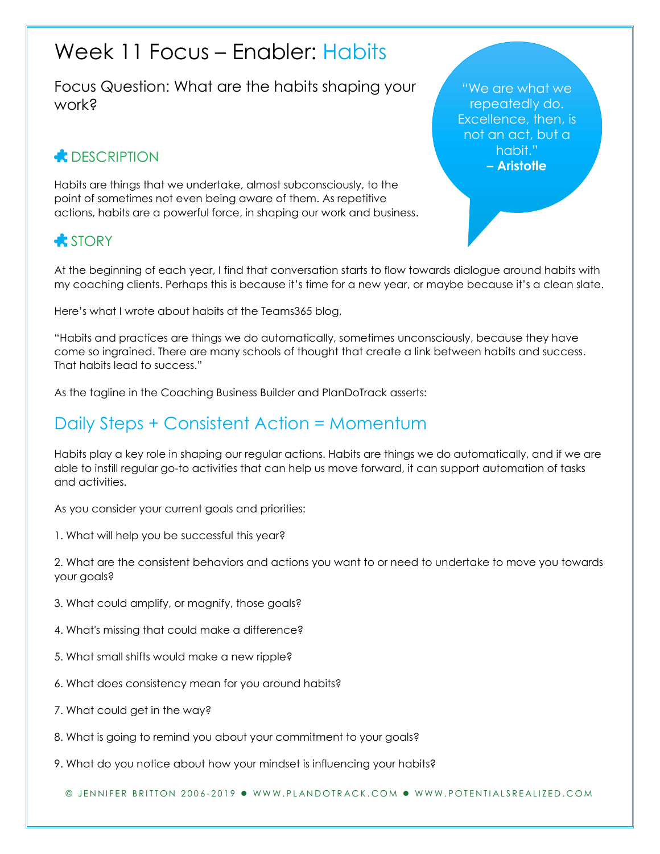# Week 11 Focus – Enabler: Habits

Focus Question: What are the habits shaping your work?

# **E** DESCRIPTION

Habits are things that we undertake, almost subconsciously, to the point of sometimes not even being aware of them. As repetitive actions, habits are a powerful force, in shaping our work and business.

## **STORY**

At the beginning of each year, I find that conversation starts to flow towards dialogue around habits with my coaching clients. Perhaps this is because it's time for a new year, or maybe because it's a clean slate.

Here's what I wrote about habits at the Teams365 blog,

"Habits and practices are things we do automatically, sometimes unconsciously, because they have come so ingrained. There are many schools of thought that create a link between habits and success. That habits lead to success."

As the tagline in the Coaching Business Builder and PlanDoTrack asserts:

# Daily Steps + Consistent Action = Momentum

Habits play a key role in shaping our regular actions. Habits are things we do automatically, and if we are able to instill regular go-to activities that can help us move forward, it can support automation of tasks and activities.

As you consider your current goals and priorities:

1. What will help you be successful this year?

2. What are the consistent behaviors and actions you want to or need to undertake to move you towards your goals?

- 3. What could amplify, or magnify, those goals?
- 4. What's missing that could make a difference?
- 5. What small shifts would make a new ripple?
- 6. What does consistency mean for you around habits?
- 7. What could get in the way?
- 8. What is going to remind you about your commitment to your goals?
- 9. What do you notice about how your mindset is influencing your habits?

© JENNIFER BRITTON 2006-2019 · WWW.PLANDOTRACK.COM · WWW.POTENTIALSREALIZED.COM

"We are what we repeatedly do. Excellence, then, is not an act, but a habit." – Aristotle